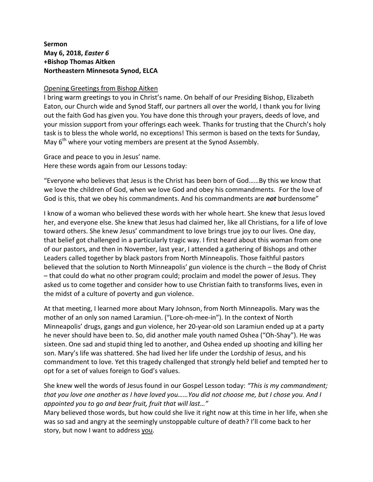## **Sermon May 6, 2018,** *Easter 6* **+Bishop Thomas Aitken Northeastern Minnesota Synod, ELCA**

## Opening Greetings from Bishop Aitken

I bring warm greetings to you in Christ's name. On behalf of our Presiding Bishop, Elizabeth Eaton, our Church wide and Synod Staff, our partners all over the world, I thank you for living out the faith God has given you. You have done this through your prayers, deeds of love, and your mission support from your offerings each week. Thanks for trusting that the Church's holy task is to bless the whole world, no exceptions! This sermon is based on the texts for Sunday, May 6<sup>th</sup> where your voting members are present at the Synod Assembly.

Grace and peace to you in Jesus' name. Here these words again from our Lessons today:

"Everyone who believes that Jesus is the Christ has been born of God……By this we know that we love the children of God, when we love God and obey his commandments. For the love of God is this, that we obey his commandments. And his commandments are *not* burdensome"

I know of a woman who believed these words with her whole heart. She knew that Jesus loved her, and everyone else. She knew that Jesus had claimed her, like all Christians, for a life of love toward others. She knew Jesus' commandment to love brings true joy to our lives. One day, that belief got challenged in a particularly tragic way. I first heard about this woman from one of our pastors, and then in November, last year, I attended a gathering of Bishops and other Leaders called together by black pastors from North Minneapolis. Those faithful pastors believed that the solution to North Minneapolis' gun violence is the church – the Body of Christ – that could do what no other program could; proclaim and model the power of Jesus. They asked us to come together and consider how to use Christian faith to transforms lives, even in the midst of a culture of poverty and gun violence.

At that meeting, I learned more about Mary Johnson, from North Minneapolis. Mary was the mother of an only son named Laramiun. ("Lore-oh-mee-in"). In the context of North Minneapolis' drugs, gangs and gun violence, her 20-year-old son Laramiun ended up at a party he never should have been to. So, did another male youth named Oshea ("Oh-Shay"). He was sixteen. One sad and stupid thing led to another, and Oshea ended up shooting and killing her son. Mary's life was shattered. She had lived her life under the Lordship of Jesus, and his commandment to love. Yet this tragedy challenged that strongly held belief and tempted her to opt for a set of values foreign to God's values.

She knew well the words of Jesus found in our Gospel Lesson today: *"This is my commandment; that you love one another as I have loved you……You did not choose me, but I chose you. And I appointed you to go and bear fruit, fruit that will last…"*

Mary believed those words, but how could she live it right now at this time in her life, when she was so sad and angry at the seemingly unstoppable culture of death? I'll come back to her story, but now I want to address you.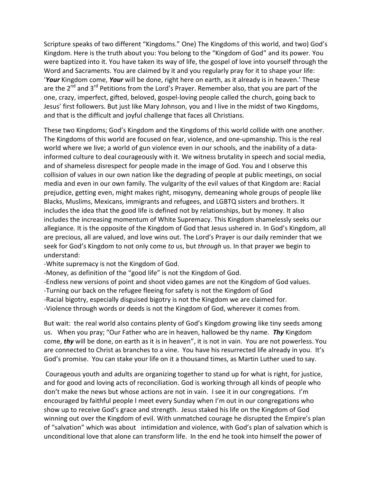Scripture speaks of two different "Kingdoms." One) The Kingdoms of this world, and two) God's Kingdom. Here is the truth about you: You belong to the "Kingdom of God" and its power. You were baptized into it. You have taken its way of life, the gospel of love into yourself through the Word and Sacraments. You are claimed by it and you regularly pray for it to shape your life: '*Your* Kingdom come, *Your* will be done, right here on earth, as it already is in heaven.' These are the  $2^{nd}$  and  $3^{rd}$  Petitions from the Lord's Prayer. Remember also, that you are part of the one, crazy, imperfect, gifted, beloved, gospel-loving people called the church, going back to Jesus' first followers. But just like Mary Johnson, you and I live in the midst of two Kingdoms, and that is the difficult and joyful challenge that faces all Christians.

These two Kingdoms; God's Kingdom and the Kingdoms of this world collide with one another. The Kingdoms of this world are focused on fear, violence, and one-upmanship. This is the real world where we live; a world of gun violence even in our schools, and the inability of a datainformed culture to deal courageously with it. We witness brutality in speech and social media, and of shameless disrespect for people made in the image of God. You and I observe this collision of values in our own nation like the degrading of people at public meetings, on social media and even in our own family. The vulgarity of the evil values of that Kingdom are: Racial prejudice, getting even, might makes right, misogyny, demeaning whole groups of people like Blacks, Muslims, Mexicans, immigrants and refugees, and LGBTQ sisters and brothers. It includes the idea that the good life is defined not by relationships, but by money. It also includes the increasing momentum of White Supremacy. This Kingdom shamelessly seeks our allegiance. It is the opposite of the Kingdom of God that Jesus ushered in. In God's Kingdom, all are precious, all are valued, and love wins out. The Lord's Prayer is our daily reminder that we seek for God's Kingdom to not only come *to* us, but *through* us. In that prayer we begin to understand:

-White supremacy is not the Kingdom of God.

-Money, as definition of the "good life" is not the Kingdom of God.

-Endless new versions of point and shoot video games are not the Kingdom of God values.

-Turning our back on the refugee fleeing for safety is not the Kingdom of God

-Racial bigotry, especially disguised bigotry is not the Kingdom we are claimed for.

-Violence through words or deeds is not the Kingdom of God, wherever it comes from.

But wait: the real world also contains plenty of God's Kingdom growing like tiny seeds among us. When you pray; "Our Father who are in heaven, hallowed be thy name. *Thy* Kingdom come, *thy* will be done, on earth as it is in heaven", it is not in vain. You are not powerless. You are connected to Christ as branches to a vine. You have his resurrected life already in you. It's God's promise. You can stake your life on it a thousand times, as Martin Luther used to say.

Courageous youth and adults are organizing together to stand up for what is right, for justice, and for good and loving acts of reconciliation. God is working through all kinds of people who don't make the news but whose actions are not in vain. I see it in our congregations. I'm encouraged by faithful people I meet every Sunday when I'm out in our congregations who show up to receive God's grace and strength. Jesus staked his life on the Kingdom of God winning out over the Kingdom of evil. With unmatched courage he disrupted the Empire's plan of "salvation" which was about intimidation and violence, with God's plan of salvation which is unconditional love that alone can transform life. In the end he took into himself the power of